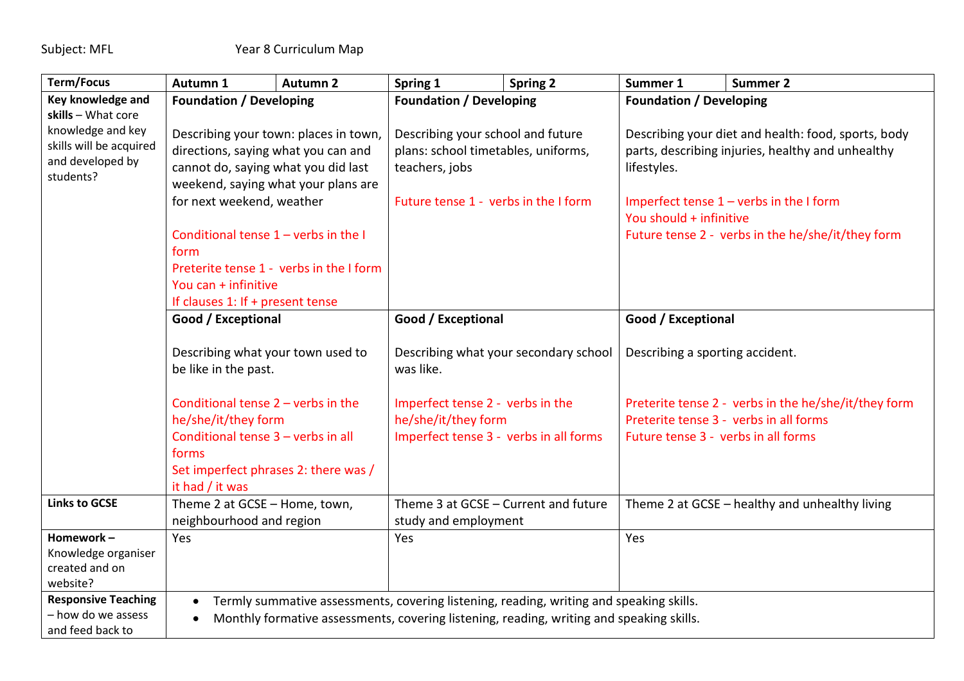| <b>Term/Focus</b>                                                             | Autumn 1                                                                                                                                                              | <b>Autumn 2</b> | Spring 1                               | <b>Spring 2</b> | Summer 1                                                             | <b>Summer 2</b>                                      |  |
|-------------------------------------------------------------------------------|-----------------------------------------------------------------------------------------------------------------------------------------------------------------------|-----------------|----------------------------------------|-----------------|----------------------------------------------------------------------|------------------------------------------------------|--|
| Key knowledge and                                                             | <b>Foundation / Developing</b>                                                                                                                                        |                 | <b>Foundation / Developing</b>         |                 | <b>Foundation / Developing</b>                                       |                                                      |  |
| skills - What core                                                            |                                                                                                                                                                       |                 |                                        |                 |                                                                      |                                                      |  |
| knowledge and key<br>skills will be acquired<br>and developed by<br>students? | Describing your town: places in town,                                                                                                                                 |                 | Describing your school and future      |                 | Describing your diet and health: food, sports, body                  |                                                      |  |
|                                                                               | directions, saying what you can and                                                                                                                                   |                 | plans: school timetables, uniforms,    |                 | parts, describing injuries, healthy and unhealthy<br>lifestyles.     |                                                      |  |
|                                                                               | cannot do, saying what you did last                                                                                                                                   |                 | teachers, jobs                         |                 |                                                                      |                                                      |  |
|                                                                               | weekend, saying what your plans are                                                                                                                                   |                 |                                        |                 |                                                                      |                                                      |  |
|                                                                               | for next weekend, weather<br>Conditional tense $1$ – verbs in the I<br>form<br>Preterite tense 1 - verbs in the I form                                                |                 | Future tense 1 - verbs in the I form   |                 | Imperfect tense $1$ – verbs in the I form<br>You should + infinitive |                                                      |  |
|                                                                               |                                                                                                                                                                       |                 |                                        |                 |                                                                      |                                                      |  |
|                                                                               |                                                                                                                                                                       |                 |                                        |                 |                                                                      | Future tense 2 - verbs in the he/she/it/they form    |  |
|                                                                               |                                                                                                                                                                       |                 |                                        |                 |                                                                      |                                                      |  |
|                                                                               |                                                                                                                                                                       |                 |                                        |                 |                                                                      |                                                      |  |
|                                                                               | You can + infinitive                                                                                                                                                  |                 |                                        |                 |                                                                      |                                                      |  |
|                                                                               | If clauses 1: If + present tense                                                                                                                                      |                 |                                        |                 |                                                                      |                                                      |  |
| Good / Exceptional                                                            |                                                                                                                                                                       |                 | Good / Exceptional                     |                 | Good / Exceptional                                                   |                                                      |  |
|                                                                               |                                                                                                                                                                       |                 |                                        |                 |                                                                      |                                                      |  |
|                                                                               | Describing what your town used to<br>be like in the past.                                                                                                             |                 | Describing what your secondary school  |                 | Describing a sporting accident.                                      |                                                      |  |
|                                                                               |                                                                                                                                                                       |                 | was like.                              |                 |                                                                      |                                                      |  |
|                                                                               |                                                                                                                                                                       |                 |                                        |                 |                                                                      |                                                      |  |
|                                                                               | Conditional tense $2$ – verbs in the<br>he/she/it/they form<br>Conditional tense 3 - verbs in all<br>forms<br>Set imperfect phrases 2: there was /<br>it had / it was |                 | Imperfect tense 2 - verbs in the       |                 |                                                                      | Preterite tense 2 - verbs in the he/she/it/they form |  |
|                                                                               |                                                                                                                                                                       |                 | he/she/it/they form                    |                 |                                                                      | Preterite tense 3 - verbs in all forms               |  |
|                                                                               |                                                                                                                                                                       |                 | Imperfect tense 3 - verbs in all forms |                 | Future tense 3 - verbs in all forms                                  |                                                      |  |
|                                                                               |                                                                                                                                                                       |                 |                                        |                 |                                                                      |                                                      |  |
|                                                                               |                                                                                                                                                                       |                 |                                        |                 |                                                                      |                                                      |  |
|                                                                               |                                                                                                                                                                       |                 |                                        |                 |                                                                      |                                                      |  |
| <b>Links to GCSE</b>                                                          | Theme 2 at GCSE - Home, town,                                                                                                                                         |                 | Theme 3 at GCSE - Current and future   |                 |                                                                      | Theme 2 at GCSE - healthy and unhealthy living       |  |
|                                                                               | neighbourhood and region                                                                                                                                              |                 | study and employment                   |                 |                                                                      |                                                      |  |
| Homework-                                                                     | Yes                                                                                                                                                                   |                 | Yes                                    |                 | Yes                                                                  |                                                      |  |
| Knowledge organiser                                                           |                                                                                                                                                                       |                 |                                        |                 |                                                                      |                                                      |  |
| created and on                                                                |                                                                                                                                                                       |                 |                                        |                 |                                                                      |                                                      |  |
| website?                                                                      |                                                                                                                                                                       |                 |                                        |                 |                                                                      |                                                      |  |
| <b>Responsive Teaching</b>                                                    | Termly summative assessments, covering listening, reading, writing and speaking skills.<br>$\bullet$                                                                  |                 |                                        |                 |                                                                      |                                                      |  |
| - how do we assess                                                            | Monthly formative assessments, covering listening, reading, writing and speaking skills.                                                                              |                 |                                        |                 |                                                                      |                                                      |  |
| and feed back to                                                              |                                                                                                                                                                       |                 |                                        |                 |                                                                      |                                                      |  |